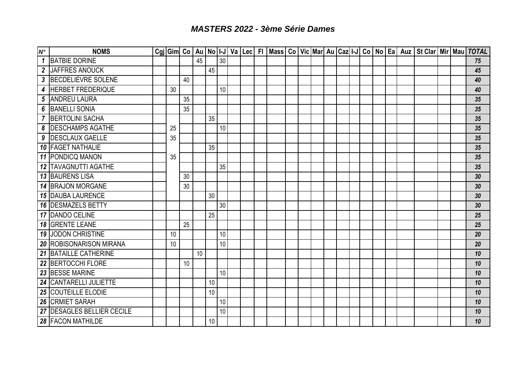## *MASTERS 2022 - 3ème Série Dames*

| $N^{\circ}$                | <b>NOMS</b>                    |    |    |    |                 |    |  |  |  |  |  |  |  | Cgi Gim  Co   Au   No   I-J   Va   Lec   FI   Mass   Co   Vic   Mar  Au   Caz  I-J   Co   No   Ea   Auz   St Clar   Mir   Mau   TOTAL |  |    |
|----------------------------|--------------------------------|----|----|----|-----------------|----|--|--|--|--|--|--|--|---------------------------------------------------------------------------------------------------------------------------------------|--|----|
| $\boldsymbol{\mathcal{L}}$ | <b>BATBIE DORINE</b>           |    |    | 45 |                 | 30 |  |  |  |  |  |  |  |                                                                                                                                       |  | 75 |
|                            | 2 JAFFRES ANOUCK               |    |    |    | 45              |    |  |  |  |  |  |  |  |                                                                                                                                       |  | 45 |
|                            | 3 BECDELIEVRE SOLENE           |    | 40 |    |                 |    |  |  |  |  |  |  |  |                                                                                                                                       |  | 40 |
|                            | 4 HERBET FREDERIQUE            | 30 |    |    |                 | 10 |  |  |  |  |  |  |  |                                                                                                                                       |  | 40 |
| $5\phantom{.0}$            | <b>ANDREU LAURA</b>            |    | 35 |    |                 |    |  |  |  |  |  |  |  |                                                                                                                                       |  | 35 |
|                            | 6 BANELLI SONIA                |    | 35 |    |                 |    |  |  |  |  |  |  |  |                                                                                                                                       |  | 35 |
|                            | 7 BERTOLINI SACHA              |    |    |    | 35              |    |  |  |  |  |  |  |  |                                                                                                                                       |  | 35 |
|                            | 8 DESCHAMPS AGATHE             | 25 |    |    |                 | 10 |  |  |  |  |  |  |  |                                                                                                                                       |  | 35 |
|                            | 9 DESCLAUX GAELLE              | 35 |    |    |                 |    |  |  |  |  |  |  |  |                                                                                                                                       |  | 35 |
|                            | 10   FAGET NATHALIE            |    |    |    | 35              |    |  |  |  |  |  |  |  |                                                                                                                                       |  | 35 |
|                            | <b>11 PONDICQ MANON</b>        | 35 |    |    |                 |    |  |  |  |  |  |  |  |                                                                                                                                       |  | 35 |
|                            | <b>12 TAVAGNUTTI AGATHE</b>    |    |    |    |                 | 35 |  |  |  |  |  |  |  |                                                                                                                                       |  | 35 |
|                            | <b>13 BAURENS LISA</b>         |    | 30 |    |                 |    |  |  |  |  |  |  |  |                                                                                                                                       |  | 30 |
|                            | <b>14 BRAJON MORGANE</b>       |    | 30 |    |                 |    |  |  |  |  |  |  |  |                                                                                                                                       |  | 30 |
|                            | <b>15 DAUBA LAURENCE</b>       |    |    |    | 30              |    |  |  |  |  |  |  |  |                                                                                                                                       |  | 30 |
|                            | <b>16 DESMAZELS BETTY</b>      |    |    |    |                 | 30 |  |  |  |  |  |  |  |                                                                                                                                       |  | 30 |
|                            | 17 DANDO CELINE                |    |    |    | 25              |    |  |  |  |  |  |  |  |                                                                                                                                       |  | 25 |
|                            | <b>18 GRENTE LEANE</b>         |    | 25 |    |                 |    |  |  |  |  |  |  |  |                                                                                                                                       |  | 25 |
|                            | <b>19 JODON CHRISTINE</b>      | 10 |    |    |                 | 10 |  |  |  |  |  |  |  |                                                                                                                                       |  | 20 |
|                            | <b>20 ROBISONARISON MIRANA</b> | 10 |    |    |                 | 10 |  |  |  |  |  |  |  |                                                                                                                                       |  | 20 |
|                            | 21 BATAILLE CATHERINE          |    |    | 10 |                 |    |  |  |  |  |  |  |  |                                                                                                                                       |  | 10 |
|                            | 22 BERTOCCHI FLORE             |    | 10 |    |                 |    |  |  |  |  |  |  |  |                                                                                                                                       |  | 10 |
|                            | 23 BESSE MARINE                |    |    |    |                 | 10 |  |  |  |  |  |  |  |                                                                                                                                       |  | 10 |
|                            | 24 CANTARELLI JULIETTE         |    |    |    | 10              |    |  |  |  |  |  |  |  |                                                                                                                                       |  | 10 |
|                            | 25 COUTEILLE ELODIE            |    |    |    | 10              |    |  |  |  |  |  |  |  |                                                                                                                                       |  | 10 |
|                            | <b>26 CRMIET SARAH</b>         |    |    |    |                 | 10 |  |  |  |  |  |  |  |                                                                                                                                       |  | 10 |
|                            | 27 DESAGLES BELLIER CECILE     |    |    |    |                 | 10 |  |  |  |  |  |  |  |                                                                                                                                       |  | 10 |
|                            | <b>28 FACON MATHILDE</b>       |    |    |    | 10 <sup>°</sup> |    |  |  |  |  |  |  |  |                                                                                                                                       |  | 10 |